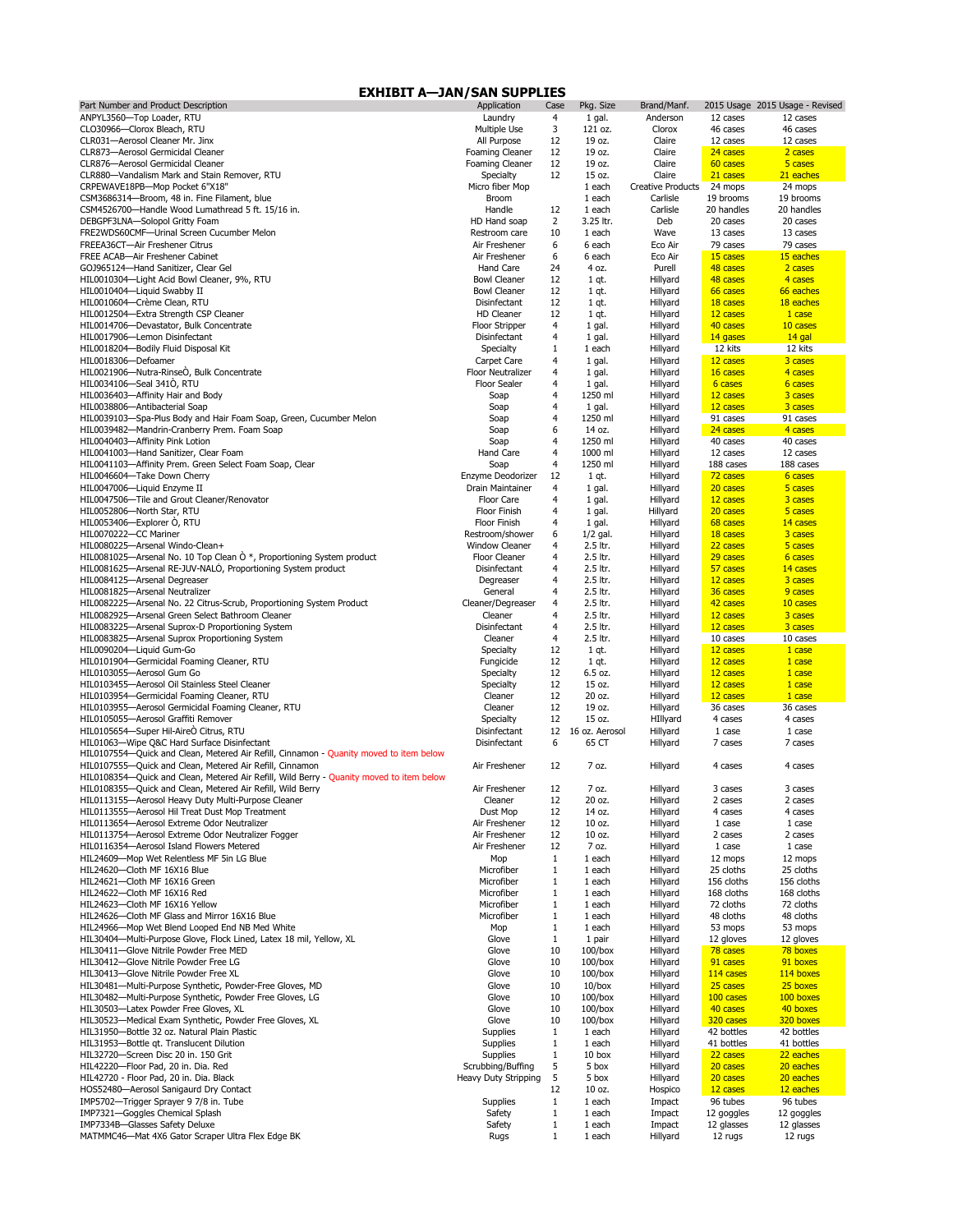| Part Number and Product Description                                                       | Application                              | Case           | Pkg. Size                | Brand/Manf.              |                       | 2015 Usage 2015 Usage - Revised |
|-------------------------------------------------------------------------------------------|------------------------------------------|----------------|--------------------------|--------------------------|-----------------------|---------------------------------|
| ANPYL3560-Top Loader, RTU                                                                 | Laundry                                  | 4              | 1 gal.                   | Anderson                 | 12 cases              | 12 cases                        |
| CLO30966-Clorox Bleach, RTU                                                               | Multiple Use                             | 3              | 121 oz.                  | Clorox                   | 46 cases              | 46 cases                        |
| CLR031-Aerosol Cleaner Mr. Jinx                                                           | All Purpose                              | 12             | 19 oz.                   | Claire                   | 12 cases              | 12 cases                        |
| CLR873-Aerosol Germicidal Cleaner                                                         | <b>Foaming Cleaner</b>                   | 12             | 19 oz.                   | Claire                   | 24 cases              | 2 cases                         |
| CLR876-Aerosol Germicidal Cleaner                                                         | <b>Foaming Cleaner</b>                   | 12             | 19 oz.                   | Claire                   | 60 cases              | 5 cases                         |
| CLR880-Vandalism Mark and Stain Remover, RTU                                              | <b>Specialty</b>                         | 12             | 15 oz.                   | Claire                   | 21 cases              | 21 eaches                       |
| CRPEWAVE18PB-Mop Pocket 6"X18"                                                            | Micro fiber Mop                          |                | 1 each                   | <b>Creative Products</b> | 24 mops               | 24 mops                         |
| CSM3686314-Broom, 48 in. Fine Filament, blue                                              | <b>Broom</b>                             |                | 1 each                   | Carlisle                 | 19 brooms             | 19 brooms                       |
| CSM4526700-Handle Wood Lumathread 5 ft. 15/16 in.                                         | Handle                                   | 12             | 1 each                   | Carlisle                 | 20 handles            | 20 handles                      |
| DEBGPF3LNA-Solopol Gritty Foam                                                            | HD Hand soap                             | $\overline{2}$ | 3.25 ltr.                | Deb                      | 20 cases              | 20 cases                        |
| FRE2WDS60CMF-Urinal Screen Cucumber Melon                                                 | Restroom care                            | 10             | 1 each                   | Wave                     | 13 cases              | 13 cases                        |
| FREEA36CT-Air Freshener Citrus                                                            | Air Freshener                            | 6              | 6 each                   | Eco Air                  | 79 cases              | 79 cases                        |
| FREE ACAB-Air Freshener Cabinet                                                           | Air Freshener                            | 6              | 6 each                   | Eco Air                  | 15 cases              | 15 eaches                       |
| GOJ965124-Hand Sanitizer, Clear Gel                                                       | Hand Care                                | 24             | 4 oz.                    | Purell                   | 48 cases              | 2 cases                         |
| HIL0010304-Light Acid Bowl Cleaner, 9%, RTU                                               | <b>Bowl Cleaner</b>                      | 12             | $1$ qt.                  | Hillyard                 | 48 cases              | 4 cases                         |
| HIL0010404-Liquid Swabby II                                                               | <b>Bowl Cleaner</b>                      | 12             | 1 qt.                    | Hillyard                 | 66 cases              | 66 eaches                       |
| HIL0010604-Crème Clean, RTU<br>HIL0012504-Extra Strength CSP Cleaner                      | <b>Disinfectant</b><br><b>HD Cleaner</b> | 12<br>12       | $1$ qt.                  | Hillyard                 | 18 cases              | 18 eaches                       |
| HIL0014706-Devastator, Bulk Concentrate                                                   | <b>Floor Stripper</b>                    | 4              | $1$ qt.                  | Hillyard<br>Hillyard     | 12 cases<br>40 cases  | 1 case<br>10 cases              |
| HIL0017906-Lemon Disinfectant                                                             | <b>Disinfectant</b>                      | 4              | 1 gal.<br>1 gal.         | Hillyard                 | 14 gases              | 14 gal                          |
| HIL0018204-Bodily Fluid Disposal Kit                                                      | <b>Specialty</b>                         |                | 1 each                   | Hillyard                 | 12 kits               | 12 kits                         |
| HIL0018306-Defoamer                                                                       | Carpet Care                              | 4              | 1 gal.                   | Hillyard                 | 12 cases              | 3 cases                         |
| HIL0021906-Nutra-RinseO, Bulk Concentrate                                                 | <b>Floor Neutralizer</b>                 | 4              | 1 gal.                   | Hillyard                 | 16 cases              | 4 cases                         |
| HIL0034106-Seal 3410, RTU                                                                 | <b>Floor Sealer</b>                      | 4              | 1 gal.                   | Hillyard                 | 6 cases               | 6 cases                         |
| HIL0036403-Affinity Hair and Body                                                         | Soap                                     | 4              | 1250 ml                  | Hillyard                 | 12 cases              | 3 cases                         |
| HIL0038806-Antibacterial Soap                                                             | Soap                                     | 4              | 1 gal.                   | Hillyard                 | 12 cases              | 3 cases                         |
| HIL0039103-Spa-Plus Body and Hair Foam Soap, Green, Cucumber Melon                        | Soap                                     | 4              | 1250 ml                  | Hillyard                 | 91 cases              | 91 cases                        |
| HIL0039482-Mandrin-Cranberry Prem. Foam Soap                                              | Soap                                     | 6              | 14 oz.                   | Hillyard                 | 24 cases              | 4 cases                         |
| HIL0040403-Affinity Pink Lotion                                                           | Soap                                     | 4              | 1250 ml                  | Hillyard                 | 40 cases              | 40 cases                        |
| HIL0041003-Hand Sanitizer, Clear Foam                                                     | Hand Care                                | 4              | 1000 ml                  | Hillyard                 | 12 cases              | 12 cases                        |
| HIL0041103-Affinity Prem. Green Select Foam Soap, Clear                                   | Soap                                     | 4              | 1250 ml                  | Hillyard                 | 188 cases             | 188 cases                       |
| HIL0046604-Take Down Cherry                                                               | Enzyme Deodorizer                        | 12             | $1$ qt.                  | Hillyard                 | 72 cases              | 6 cases                         |
| HIL0047006-Liquid Enzyme II                                                               | Drain Maintainer                         | 4              | 1 gal.                   | Hillyard                 | 20 cases              | 5 cases                         |
| HIL0047506-Tile and Grout Cleaner/Renovator                                               | Floor Care                               | 4              | 1 gal.                   | Hillyard                 | 12 cases              | 3 cases                         |
| HIL0052806-North Star, RTU                                                                | <b>Floor Finish</b>                      | 4              | 1 gal.                   | Hillyard                 | 20 cases              | 5 cases                         |
| HIL0053406-Explorer O, RTU                                                                | <b>Floor Finish</b>                      | 4              | 1 gal.                   | Hillyard                 | 68 cases              | 14 cases                        |
| HIL0070222-CC Mariner                                                                     | Restroom/shower                          | 6              | $1/2$ gal.               | Hillyard                 | 18 cases              | 3 cases                         |
| HIL0080225-Arsenal Windo-Clean+                                                           | <b>Window Cleaner</b>                    | 4              | 2.5 ltr.                 | Hillyard                 | 22 cases              | 5 cases                         |
| HIL0081025—Arsenal No. 10 Top Clean $\dot{O}^*$ , Proportioning System product            | <b>Floor Cleaner</b>                     | $\overline{4}$ | 2.5 ltr.                 | Hillyard                 | 29 cases              | 6 cases                         |
| HIL0081625-Arsenal RE-JUV-NALO, Proportioning System product                              | <b>Disinfectant</b>                      | 4              | 2.5 ltr.                 | Hillyard                 | 57 cases              | 14 cases                        |
| HIL0084125-Arsenal Degreaser                                                              | Degreaser                                | 4              | 2.5 ltr.                 | Hillyard                 | 12 cases              | 3 cases                         |
| HIL0081825-Arsenal Neutralizer                                                            | General                                  | 4              | 2.5 ltr.                 | Hillyard                 | 36 cases              | 9 cases                         |
| HIL0082225-Arsenal No. 22 Citrus-Scrub, Proportioning System Product                      | Cleaner/Degreaser                        | 4              | 2.5 ltr.                 | Hillyard                 | 42 cases              | 10 cases                        |
| HIL0082925-Arsenal Green Select Bathroom Cleaner                                          | Cleaner                                  | 4              | 2.5 ltr.                 | Hillyard                 | 12 cases              | 3 cases                         |
| HIL0083225-Arsenal Suprox-D Proportioning System                                          | <b>Disinfectant</b>                      | 4              | 2.5 ltr.                 | Hillyard                 | 12 cases              | 3 cases                         |
| HIL0083825-Arsenal Suprox Proportioning System                                            | Cleaner                                  | 4              | 2.5 ltr.                 | Hillyard                 | 10 cases              | 10 cases                        |
| HIL0090204-Liquid Gum-Go                                                                  | <b>Specialty</b>                         | 12             | $1$ qt.                  | Hillyard                 | 12 cases              | 1 case                          |
| HIL0101904-Germicidal Foaming Cleaner, RTU                                                | Fungicide                                | 12             | 1 qt.                    | Hillyard                 | 12 cases              | 1 case                          |
| HIL0103055-Aerosol Gum Go                                                                 | <b>Specialty</b>                         | 12             | 6.5 oz.                  | Hillyard                 | 12 cases              | 1 case                          |
| HIL0103455-Aerosol Oil Stainless Steel Cleaner                                            | Specialty                                | 12             | 15 oz.                   | Hillyard                 | 12 cases              | 1 case                          |
| HIL0103954-Germicidal Foaming Cleaner, RTU                                                | Cleaner                                  | 12             | 20 oz.                   | Hillyard                 | 12 cases              | 1 case                          |
| HIL0103955-Aerosol Germicidal Foaming Cleaner, RTU<br>HIL0105055-Aerosol Graffiti Remover | Cleaner                                  | 12<br>12       | 19 oz.<br>15 oz.         | Hillyard                 | 36 cases              | 36 cases                        |
| HIL0105654-Super Hil-AireÒ Citrus, RTU                                                    | <b>Specialty</b><br><b>Disinfectant</b>  | 12             | 16 oz. Aerosol           | HIllyard<br>Hillyard     | 4 cases<br>1 case     | 4 cases<br>1 case               |
| HIL01063-Wipe Q&C Hard Surface Disinfectant                                               | Disinfectant                             | 6              | 65 CT                    | Hillyard                 | 7 cases               | 7 cases                         |
| HIL0107554—Quick and Clean, Metered Air Refill, Cinnamon - Quanity moved to item below    |                                          |                |                          |                          |                       |                                 |
| HIL0107555-Quick and Clean, Metered Air Refill, Cinnamon                                  | Air Freshener                            | 12             | 7 oz.                    | Hillyard                 | 4 cases               | 4 cases                         |
| HIL0108354—Quick and Clean, Metered Air Refill, Wild Berry - Quanity moved to item below  |                                          |                |                          |                          |                       |                                 |
| HIL0108355-Quick and Clean, Metered Air Refill, Wild Berry                                | Air Freshener                            | 12             | 7 oz.                    | Hillyard                 | 3 cases               | 3 cases                         |
| HIL0113155-Aerosol Heavy Duty Multi-Purpose Cleaner                                       | Cleaner                                  | 12             | 20 oz.                   | Hillyard                 | 2 cases               | 2 cases                         |
| HIL0113555-Aerosol Hil Treat Dust Mop Treatment                                           | Dust Mop                                 | 12             | 14 oz.                   | Hillyard                 | 4 cases               | 4 cases                         |
| HIL0113654-Aerosol Extreme Odor Neutralizer                                               | Air Freshener                            | 12             | 10 oz.                   | Hillyard                 | 1 case                | 1 case                          |
| HIL0113754-Aerosol Extreme Odor Neutralizer Fogger                                        | Air Freshener                            | 12             | 10 oz.                   | Hillyard                 | 2 cases               | 2 cases                         |
| HIL0116354-Aerosol Island Flowers Metered                                                 | Air Freshener                            | 12             | 7 oz.                    | Hillyard                 | 1 case                | 1 case                          |
| HIL24609-Mop Wet Relentless MF 5in LG Blue                                                | Mop                                      | $\mathbf{1}$   | 1 each                   | Hillyard                 | 12 mops               | 12 mops                         |
| HIL24620-Cloth MF 16X16 Blue                                                              | Microfiber                               | 1              | 1 each                   | Hillyard                 | 25 cloths             | 25 cloths                       |
| HIL24621-Cloth MF 16X16 Green                                                             | Microfiber                               | $\mathbf{1}$   | 1 each                   | Hillyard                 | 156 cloths            | 156 cloths                      |
| HIL24622-Cloth MF 16X16 Red                                                               | Microfiber                               | $\mathbf 1$    | 1 each                   | Hillyard                 | 168 cloths            | 168 cloths                      |
| HIL24623-Cloth MF 16X16 Yellow                                                            | Microfiber                               | $\mathbf 1$    | 1 each                   | Hillyard                 | 72 cloths             | 72 cloths                       |
| HIL24626-Cloth MF Glass and Mirror 16X16 Blue                                             | Microfiber                               | 1              | 1 each                   | Hillyard                 | 48 cloths             | 48 cloths                       |
| HIL24966-Mop Wet Blend Looped End NB Med White                                            | Mop                                      |                | 1 each                   | Hillyard                 | 53 mops               | 53 mops                         |
| HIL30404-Multi-Purpose Glove, Flock Lined, Latex 18 mil, Yellow, XL                       | Glove                                    | $\mathbf{1}$   | 1 pair                   | Hillyard                 | 12 gloves<br>78 cases | 12 gloves<br>78 boxes           |
| HIL30411-Glove Nitrile Powder Free MED                                                    | Glove                                    | 10             | $100/b$ ox               | Hillyard                 |                       |                                 |
| HIL30412-Glove Nitrile Powder Free LG<br>HIL30413-Glove Nitrile Powder Free XL            | Glove<br>Glove                           | 10<br>10       | $100/b$ ox<br>$100/b$ ox | Hillyard                 | 91 cases<br>114 cases | 91 boxes<br>114 boxes           |
| HIL30481-Multi-Purpose Synthetic, Powder-Free Gloves, MD                                  | Glove                                    | 10             | $10/b$ ox                | Hillyard<br>Hillyard     | 25 cases              | 25 boxes                        |
| HIL30482-Multi-Purpose Synthetic, Powder Free Gloves, LG                                  | Glove                                    | 10             | $100/b$ ox               | Hillyard                 | 100 cases             | 100 boxes                       |
| HIL30503-Latex Powder Free Gloves, XL                                                     | Glove                                    | 10             | $100/b$ ox               | Hillyard                 | 40 cases              | 40 boxes                        |
| HIL30523-Medical Exam Synthetic, Powder Free Gloves, XL                                   | Glove                                    | 10             | $100/b$ ox               | Hillyard                 | 320 cases             | 320 boxes                       |
| HIL31950-Bottle 32 oz. Natural Plain Plastic                                              | <b>Supplies</b>                          | $\mathbf{1}$   | 1 each                   | Hillyard                 | 42 bottles            | 42 bottles                      |
| HIL31953-Bottle qt. Translucent Dilution                                                  | <b>Supplies</b>                          |                | 1 each                   | Hillyard                 | 41 bottles            | 41 bottles                      |
| HIL32720-Screen Disc 20 in. 150 Grit                                                      | <b>Supplies</b>                          | $\mathbf{1}$   | 10 box                   | Hillyard                 | 22 cases              | 22 eaches                       |
| HIL42220-Floor Pad, 20 in. Dia. Red                                                       | Scrubbing/Buffing                        | 5              | 5 box                    | Hillyard                 | 20 cases              | 20 eaches                       |
| HIL42720 - Floor Pad, 20 in. Dia. Black                                                   | <b>Heavy Duty Stripping</b>              | 5              | 5 box                    | Hillyard                 | 20 cases              | 20 eaches                       |
| HOS52480-Aerosol Sanigaurd Dry Contact                                                    |                                          | 12             | 10 oz.                   | Hospico                  | 12 cases              | 12 eaches                       |
| IMP5702-Trigger Sprayer 9 7/8 in. Tube                                                    | <b>Supplies</b>                          |                | 1 each                   | Impact                   | 96 tubes              | 96 tubes                        |
| IMP7321-Goggles Chemical Splash                                                           | Safety                                   |                | 1 each                   | Impact                   | 12 goggles            | 12 goggles                      |
| IMP7334B-Glasses Safety Deluxe                                                            | Safety                                   |                | 1 each                   | Impact                   | 12 glasses            | 12 glasses                      |
| MATMMC46-Mat 4X6 Gator Scraper Ultra Flex Edge BK                                         | Rugs                                     |                | 1 each                   | Hillyard                 | 12 rugs               | 12 rugs                         |

## **EXHIBIT A—JAN/SAN SUPPLIES**